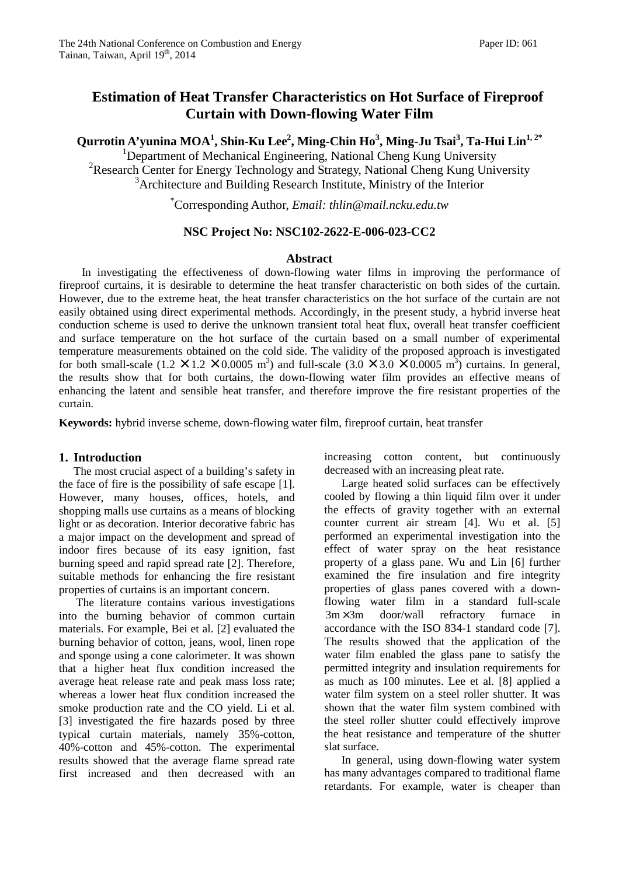# **Estimation of Heat Transfer Characteristics on Hot Surface of Fireproof Curtain with Down-flowing Water Film**

**Qurrotin A'yunina MOA<sup>1</sup> , Shin-Ku Lee<sup>2</sup> , Ming-Chin Ho<sup>3</sup> , Ming-Ju Tsai<sup>3</sup> , Ta-Hui Lin1, 2\***

<sup>1</sup>Department of Mechanical Engineering, National Cheng Kung University <sup>2</sup>Research Center for Energy Technology and Strategy, National Cheng Kung University <sup>3</sup>Architecture and Building Research Institute, Ministry of the Interior

\*Corresponding Author, *Email: thlin@mail.ncku.edu.tw* 

### **NSC Project No: NSC102-2622-E-006-023-CC2**

#### **Abstract**

In investigating the effectiveness of down-flowing water films in improving the performance of fireproof curtains, it is desirable to determine the heat transfer characteristic on both sides of the curtain. However, due to the extreme heat, the heat transfer characteristics on the hot surface of the curtain are not easily obtained using direct experimental methods. Accordingly, in the present study, a hybrid inverse heat conduction scheme is used to derive the unknown transient total heat flux, overall heat transfer coefficient and surface temperature on the hot surface of the curtain based on a small number of experimental temperature measurements obtained on the cold side. The validity of the proposed approach is investigated for both small-scale  $(1.2 \times 1.2 \times 0.0005 \text{ m}^3)$  and full-scale  $(3.0 \times 3.0 \times 0.0005 \text{ m}^3)$  curtains. In general, the results show that for both curtains, the down-flowing water film provides an effective means of enhancing the latent and sensible heat transfer, and therefore improve the fire resistant properties of the curtain.

**Keywords:** hybrid inverse scheme, down-flowing water film, fireproof curtain, heat transfer

#### **1. Introduction**

The most crucial aspect of a building's safety in the face of fire is the possibility of safe escape [1]. However, many houses, offices, hotels, and shopping malls use curtains as a means of blocking light or as decoration. Interior decorative fabric has a major impact on the development and spread of indoor fires because of its easy ignition, fast burning speed and rapid spread rate [2]. Therefore, suitable methods for enhancing the fire resistant properties of curtains is an important concern.

The literature contains various investigations into the burning behavior of common curtain materials. For example, Bei et al. [2] evaluated the burning behavior of cotton, jeans, wool, linen rope and sponge using a cone calorimeter. It was shown that a higher heat flux condition increased the average heat release rate and peak mass loss rate; whereas a lower heat flux condition increased the smoke production rate and the CO yield. Li et al*.*  [3] investigated the fire hazards posed by three typical curtain materials, namely 35%-cotton, 40%-cotton and 45%-cotton. The experimental results showed that the average flame spread rate first increased and then decreased with an increasing cotton content, but continuously decreased with an increasing pleat rate.

Large heated solid surfaces can be effectively cooled by flowing a thin liquid film over it under the effects of gravity together with an external counter current air stream [4]. Wu et al. [5] performed an experimental investigation into the effect of water spray on the heat resistance property of a glass pane. Wu and Lin [6] further examined the fire insulation and fire integrity properties of glass panes covered with a downflowing water film in a standard full-scale  $3m \times 3m$  door/wall refractory furnace in accordance with the ISO 834-1 standard code [7]. The results showed that the application of the water film enabled the glass pane to satisfy the permitted integrity and insulation requirements for as much as 100 minutes. Lee et al. [8] applied a water film system on a steel roller shutter. It was shown that the water film system combined with the steel roller shutter could effectively improve the heat resistance and temperature of the shutter slat surface.

In general, using down-flowing water system has many advantages compared to traditional flame retardants. For example, water is cheaper than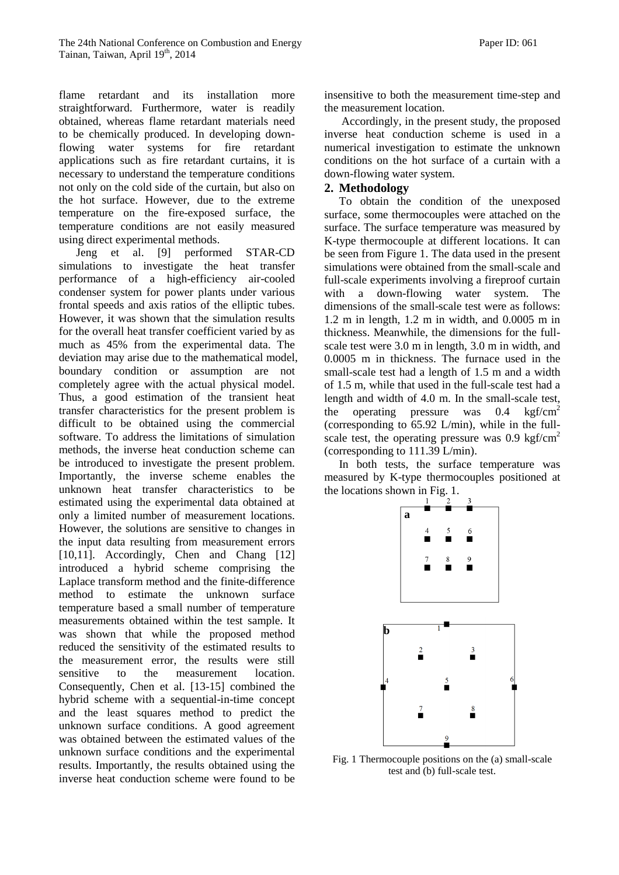flame retardant and its installation more straightforward. Furthermore, water is readily obtained, whereas flame retardant materials need to be chemically produced. In developing downflowing water systems for fire retardant applications such as fire retardant curtains, it is necessary to understand the temperature conditions not only on the cold side of the curtain, but also on the hot surface. However, due to the extreme temperature on the fire-exposed surface, the temperature conditions are not easily measured using direct experimental methods.

Jeng et al. [9] performed STAR-CD simulations to investigate the heat transfer performance of a high-efficiency air-cooled condenser system for power plants under various frontal speeds and axis ratios of the elliptic tubes. However, it was shown that the simulation results for the overall heat transfer coefficient varied by as much as 45% from the experimental data. The deviation may arise due to the mathematical model, boundary condition or assumption are not completely agree with the actual physical model. Thus, a good estimation of the transient heat transfer characteristics for the present problem is difficult to be obtained using the commercial software. To address the limitations of simulation methods, the inverse heat conduction scheme can be introduced to investigate the present problem. Importantly, the inverse scheme enables the unknown heat transfer characteristics to be estimated using the experimental data obtained at only a limited number of measurement locations. However, the solutions are sensitive to changes in the input data resulting from measurement errors [10,11]. Accordingly, Chen and Chang [12] introduced a hybrid scheme comprising the Laplace transform method and the finite-difference method to estimate the unknown surface temperature based a small number of temperature measurements obtained within the test sample. It was shown that while the proposed method reduced the sensitivity of the estimated results to the measurement error, the results were still sensitive to the measurement location. Consequently, Chen et al. [13-15] combined the hybrid scheme with a sequential-in-time concept and the least squares method to predict the unknown surface conditions. A good agreement was obtained between the estimated values of the unknown surface conditions and the experimental results. Importantly, the results obtained using the inverse heat conduction scheme were found to be

insensitive to both the measurement time-step and the measurement location.

Accordingly, in the present study, the proposed inverse heat conduction scheme is used in a numerical investigation to estimate the unknown conditions on the hot surface of a curtain with a down-flowing water system.

### **2. Methodology**

To obtain the condition of the unexposed surface, some thermocouples were attached on the surface. The surface temperature was measured by K-type thermocouple at different locations. It can be seen from Figure 1. The data used in the present simulations were obtained from the small-scale and full-scale experiments involving a fireproof curtain with a down-flowing water system. The dimensions of the small-scale test were as follows: 1.2 m in length, 1.2 m in width, and 0.0005 m in thickness. Meanwhile, the dimensions for the fullscale test were 3.0 m in length, 3.0 m in width, and 0.0005 m in thickness. The furnace used in the small-scale test had a length of 1.5 m and a width of 1.5 m, while that used in the full-scale test had a length and width of 4.0 m. In the small-scale test, the operating pressure was  $0.4 \text{ kgf/cm}^2$ (corresponding to 65.92 L/min), while in the fullscale test, the operating pressure was  $0.9 \text{ kgf/cm}^2$ (corresponding to 111.39 L/min).

In both tests, the surface temperature was measured by K-type thermocouples positioned at the locations shown in Fig. 1.



Fig. 1 Thermocouple positions on the (a) small-scale test and (b) full-scale test.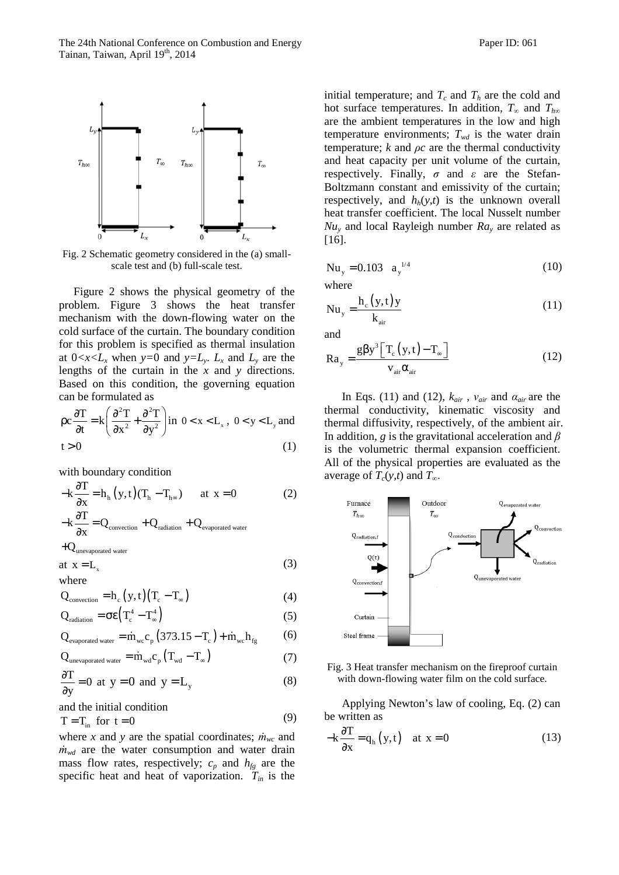

Fig. 2 Schematic geometry considered in the (a) smallscale test and (b) full-scale test.

Figure 2 shows the physical geometry of the problem. Figure 3 shows the heat transfer mechanism with the down-flowing water on the cold surface of the curtain. The boundary condition for this problem is specified as thermal insulation at  $0 < x < L_x$  when  $y = 0$  and  $y = L_y$ .  $L_x$  and  $L_y$  are the lengths of the curtain in the *x* and *y* directions. Based on this condition, the governing equation can be formulated as

$$
\rho c \frac{\partial T}{\partial t} = k \left( \frac{\partial^2 T}{\partial x^2} + \frac{\partial^2 T}{\partial y^2} \right) \text{ in } 0 < x < L_x, \ 0 < y < L_y \text{ and}
$$
  
t > 0 \t(1)

with boundary condition

$$
-k\frac{\partial T}{\partial x} = h_h(y, t)(T_h - T_{h\infty}) \quad \text{at } x = 0 \tag{2}
$$

$$
-k\frac{\partial T}{\partial x} = Q_{\text{convection}} + Q_{\text{radiation}} + Q_{\text{evaporated water}}
$$

$$
+Q_{\rm unevaporated\ water}
$$

$$
at x = L_x \tag{3}
$$

where  
Q<sub>convection</sub> = h<sub>c</sub> (y,t)(T<sub>c</sub> - T<sub>$$
\infty
$$</sub>) (4)

$$
Q_{\text{radiation}} = \sigma \epsilon \left( T_c^4 - T_\infty^4 \right) \tag{5}
$$

$$
Q_{\text{evaporated water}} = \dot{m}_{\text{wc}} c_{p} \left( 373.15 - T_{\text{c}} \right) + \dot{m}_{\text{wc}} h_{\text{fg}} \tag{6}
$$

$$
Q_{\text{unevaporated water}} = \dot{m}_{wd} c_p \left( T_{wd} - T_{\infty} \right) \tag{7}
$$

$$
\frac{\partial T}{\partial y} = 0 \text{ at } y = 0 \text{ and } y = L_y \tag{8}
$$

and the initial condition

$$
T = T_{in} \text{ for } t = 0 \tag{9}
$$

where *x* and *y* are the spatial coordinates;  $\dot{m}_{wc}$  and *ṁwd* are the water consumption and water drain mass flow rates, respectively;  $c_p$  and  $h_{fg}$  are the specific heat and heat of vaporization. *Tin* is the

initial temperature; and  $T_c$  and  $T_h$  are the cold and hot surface temperatures. In addition,  $T_\infty$  and  $T_{h\infty}$ are the ambient temperatures in the low and high temperature environments;  $T_{wd}$  is the water drain temperature;  $k$  and  $\rho c$  are the thermal conductivity and heat capacity per unit volume of the curtain, respectively. Finally, *σ* and *ε* are the Stefan-Boltzmann constant and emissivity of the curtain; respectively, and  $h_h(y,t)$  is the unknown overall heat transfer coefficient. The local Nusselt number *Nu<sup>y</sup>* and local Rayleigh number *Ra<sup>y</sup>* are related as [16].

$$
Nu_y = 0.103 \quad a_y^{1/4} \tag{10}
$$

where

$$
Nu_{y} = \frac{h_c(y, t)y}{k_{air}}
$$
 (11)

and

$$
Ra_{y} = \frac{g\beta y^{3} \left[T_{c}(y, t) - T_{\infty}\right]}{v_{air}\alpha_{air}}
$$
 (12)

In Eqs. (11) and (12),  $k_{air}$ ,  $v_{air}$  and  $a_{air}$  are the thermal conductivity, kinematic viscosity and thermal diffusivity, respectively, of the ambient air. In addition, *g* is the gravitational acceleration and *β* is the volumetric thermal expansion coefficient. All of the physical properties are evaluated as the average of  $T_c(y,t)$  and  $T_\infty$ .



Fig. 3 Heat transfer mechanism on the fireproof curtain with down-flowing water film on the cold surface.

Applying Newton's law of cooling, Eq. (2) can be written as

$$
-k\frac{\partial T}{\partial x} = q_h(y,t) \quad \text{at } x = 0 \tag{13}
$$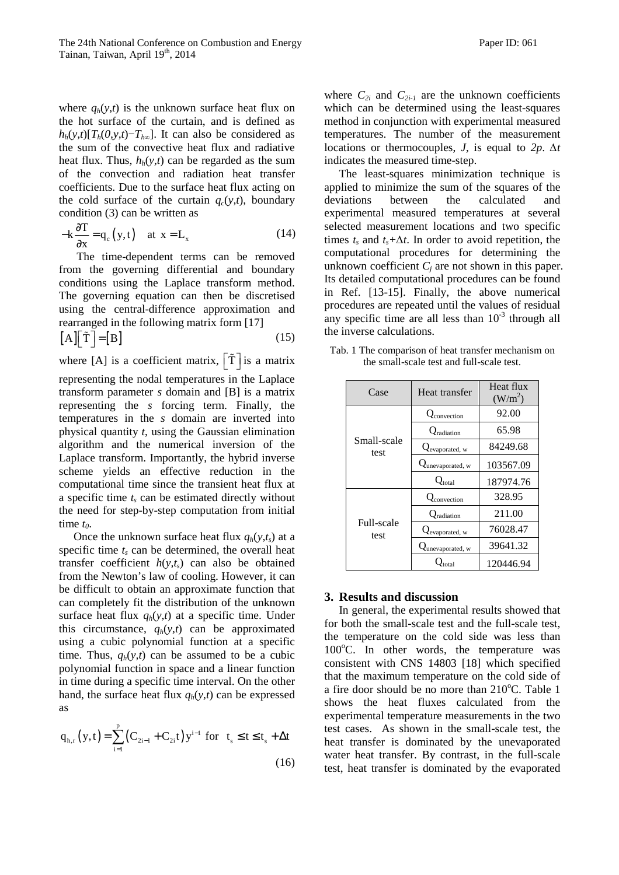where  $q_h(y,t)$  is the unknown surface heat flux on the hot surface of the curtain, and is defined as  $h_h(y,t)[T_h(0, y, t)-T_{h\infty}]$ . It can also be considered as the sum of the convective heat flux and radiative heat flux. Thus,  $h_h(y,t)$  can be regarded as the sum of the convection and radiation heat transfer coefficients. Due to the surface heat flux acting on the cold surface of the curtain  $q_c(y,t)$ , boundary condition (3) can be written as

$$
-k\frac{\partial T}{\partial x} = q_c(y,t) \quad \text{at } x = L_x \tag{14}
$$

The time-dependent terms can be removed from the governing differential and boundary conditions using the Laplace transform method. The governing equation can then be discretised using the central-difference approximation and rearranged in the following matrix form [17]

$$
[A][\tilde{T}]=[B]
$$
 (15)

where [A] is a coefficient matrix,  $\left[\tilde{T}\right]$  is a matrix representing the nodal temperatures in the Laplace transform parameter *s* domain and [B] is a matrix representing the *s* forcing term. Finally, the temperatures in the *s* domain are inverted into physical quantity *t*, using the Gaussian elimination algorithm and the numerical inversion of the Laplace transform. Importantly, the hybrid inverse scheme yields an effective reduction in the computational time since the transient heat flux at a specific time *t<sup>s</sup>* can be estimated directly without the need for step-by-step computation from initial time *t0*.

Once the unknown surface heat flux  $q_h(y,t_s)$  at a specific time  $t_s$  can be determined, the overall heat transfer coefficient  $h(y,t_s)$  can also be obtained from the Newton's law of cooling. However, it can be difficult to obtain an approximate function that can completely fit the distribution of the unknown surface heat flux  $q_h(y,t)$  at a specific time. Under this circumstance,  $q_h(y,t)$  can be approximated using a cubic polynomial function at a specific time. Thus,  $q_h(y,t)$  can be assumed to be a cubic polynomial function in space and a linear function in time during a specific time interval. On the other hand, the surface heat flux  $q_h(y,t)$  can be expressed as

$$
q_{h,r}(y,t) = \sum_{i=1}^{p} (C_{2i-1} + C_{2i}t) y^{i-1} \text{ for } t_s \le t \le t_s + \Delta t
$$
\n(16)

where  $C_{2i}$  and  $C_{2i-1}$  are the unknown coefficients which can be determined using the least-squares method in conjunction with experimental measured temperatures. The number of the measurement locations or thermocouples, *J*, is equal to *2p*. *∆t* indicates the measured time-step.

The least-squares minimization technique is applied to minimize the sum of the squares of the deviations between the calculated and experimental measured temperatures at several selected measurement locations and two specific times  $t_s$  and  $t_s + \Delta t$ . In order to avoid repetition, the computational procedures for determining the unknown coefficient  $C_j$  are not shown in this paper. Its detailed computational procedures can be found in Ref. [13-15]. Finally, the above numerical procedures are repeated until the values of residual any specific time are all less than  $10^{-3}$  through all the inverse calculations.

the small-scale test and full-scale test. Case Heat transfer Heat flux  $(W/m^2)$ 

> Qevaporated, w 76028.47 Q<sub>unevaporated, w</sub> 39641.32 Q<sub>total</sub> 120446.94

Tab. 1 The comparison of heat transfer mechanism on

|  |                     |                                  | $V$ $V$ $I$ $I$ |
|--|---------------------|----------------------------------|-----------------|
|  | Small-scale<br>test | Q <sub>convection</sub>          | 92.00           |
|  |                     | $\mathcal{Q}_{\text{radiation}}$ | 65.98           |
|  |                     | Qevaporated, w                   | 84249.68        |
|  |                     | Qunevaporated, w                 | 103567.09       |
|  |                     | $\mathcal{Q}_{total}$            | 187974.76       |
|  | Full-scale          | $Q_{\text{convection}}$          | 328.95          |
|  |                     | radiation                        | 211.00          |
|  |                     |                                  |                 |

### **3. Results and discussion**

test

In general, the experimental results showed that for both the small-scale test and the full-scale test, the temperature on the cold side was less than  $100^{\circ}$ C. In other words, the temperature was consistent with CNS 14803 [18] which specified that the maximum temperature on the cold side of a fire door should be no more than  $210^{\circ}$ C. Table 1 shows the heat fluxes calculated from the experimental temperature measurements in the two test cases. As shown in the small-scale test, the heat transfer is dominated by the unevaporated water heat transfer. By contrast, in the full-scale test, heat transfer is dominated by the evaporated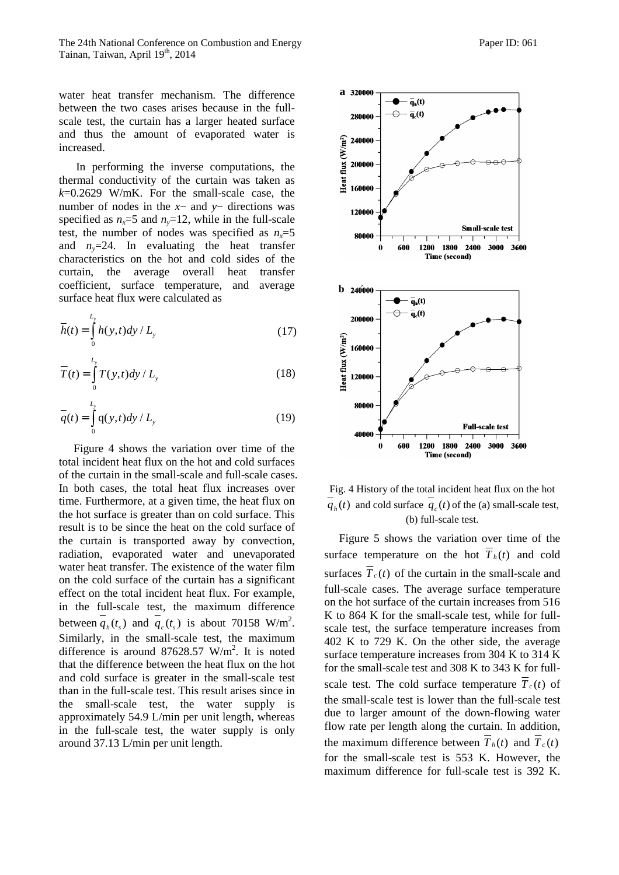water heat transfer mechanism. The difference between the two cases arises because in the fullscale test, the curtain has a larger heated surface and thus the amount of evaporated water is increased.

In performing the inverse computations, the thermal conductivity of the curtain was taken as  $k=0.2629$  W/mK. For the small-scale case, the number of nodes in the *x*− and *y*− directions was specified as  $n_x=5$  and  $n_y=12$ , while in the full-scale test, the number of nodes was specified as  $n<sub>x</sub>=5$ and  $n_v=24$ . In evaluating the heat transfer characteristics on the hot and cold sides of the curtain, the average overall heat transfer coefficient, surface temperature, and average surface heat flux were calculated as

$$
\overline{h}(t) = \int_{0}^{L_y} h(y, t) dy / L_y
$$
\n(17)

$$
\overline{T}(t) = \int_{0}^{L_y} T(y, t) dy / L_y
$$
\n(18)

$$
\overline{q}(t) = \int_{0}^{L_y} q(y, t) dy / L_y
$$
\n(19)

Figure 4 shows the variation over time of the total incident heat flux on the hot and cold surfaces of the curtain in the small-scale and full-scale cases. In both cases, the total heat flux increases over time. Furthermore, at a given time, the heat flux on the hot surface is greater than on cold surface. This result is to be since the heat on the cold surface of the curtain is transported away by convection, radiation, evaporated water and unevaporated water heat transfer. The existence of the water film on the cold surface of the curtain has a significant effect on the total incident heat flux. For example, in the full-scale test, the maximum difference between  $\overline{q}_h(t_s)$  and  $\overline{q}_c(t_s)$  is about 70158 W/m<sup>2</sup>. Similarly, in the small-scale test, the maximum difference is around 87628.57 W/m<sup>2</sup>. It is noted that the difference between the heat flux on the hot and cold surface is greater in the small-scale test than in the full-scale test. This result arises since in the small-scale test, the water supply is approximately 54.9 L/min per unit length, whereas in the full-scale test, the water supply is only around 37.13 L/min per unit length.



Fig. 4 History of the total incident heat flux on the hot  $q_h(t)$  and cold surface  $q_c(t)$  of the (a) small-scale test, (b) full-scale test.

Figure 5 shows the variation over time of the surface temperature on the hot  $\overline{T}_h(t)$  and cold surfaces  $\overline{T}_c(t)$  of the curtain in the small-scale and full-scale cases. The average surface temperature on the hot surface of the curtain increases from 516 K to 864 K for the small-scale test, while for fullscale test, the surface temperature increases from 402 K to 729 K. On the other side, the average surface temperature increases from 304 K to 314 K for the small-scale test and 308 K to 343 K for fullscale test. The cold surface temperature  $\overline{T}_c(t)$  of the small-scale test is lower than the full-scale test due to larger amount of the down-flowing water flow rate per length along the curtain. In addition, the maximum difference between  $T_h(t)$  and  $T_c(t)$ for the small-scale test is 553 K. However, the maximum difference for full-scale test is 392 K.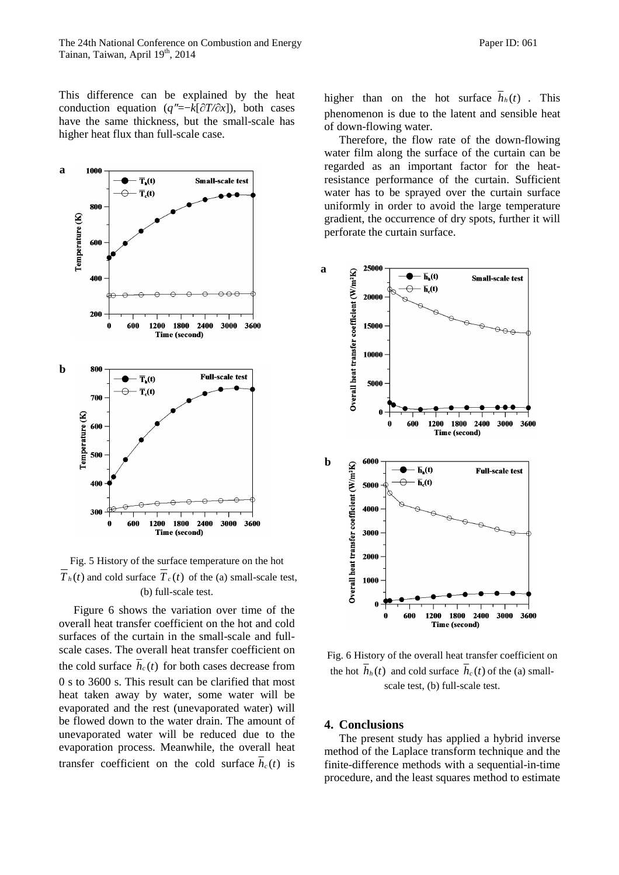This difference can be explained by the heat conduction equation ( $q' = -k[\partial T/\partial x]$ ), both cases have the same thickness, but the small-scale has higher heat flux than full-scale case.



Fig. 5 History of the surface temperature on the hot  $\overline{T}_h(t)$  and cold surface  $\overline{T}_c(t)$  of the (a) small-scale test, (b) full-scale test.

Figure 6 shows the variation over time of the overall heat transfer coefficient on the hot and cold surfaces of the curtain in the small-scale and fullscale cases. The overall heat transfer coefficient on the cold surface  $\overline{h}_c(t)$  for both cases decrease from 0 s to 3600 s. This result can be clarified that most heat taken away by water, some water will be evaporated and the rest (unevaporated water) will be flowed down to the water drain. The amount of unevaporated water will be reduced due to the evaporation process. Meanwhile, the overall heat transfer coefficient on the cold surface  $h_c(t)$  is

higher than on the hot surface  $\overline{h}_h(t)$ . This phenomenon is due to the latent and sensible heat of down-flowing water.

Therefore, the flow rate of the down-flowing water film along the surface of the curtain can be regarded as an important factor for the heatresistance performance of the curtain. Sufficient water has to be sprayed over the curtain surface uniformly in order to avoid the large temperature gradient, the occurrence of dry spots, further it will perforate the curtain surface.



Fig. 6 History of the overall heat transfer coefficient on the hot  $h_h(t)$  and cold surface  $h_c(t)$  of the (a) smallscale test, (b) full-scale test.

#### **4. Conclusions**

The present study has applied a hybrid inverse method of the Laplace transform technique and the finite-difference methods with a sequential-in-time procedure, and the least squares method to estimate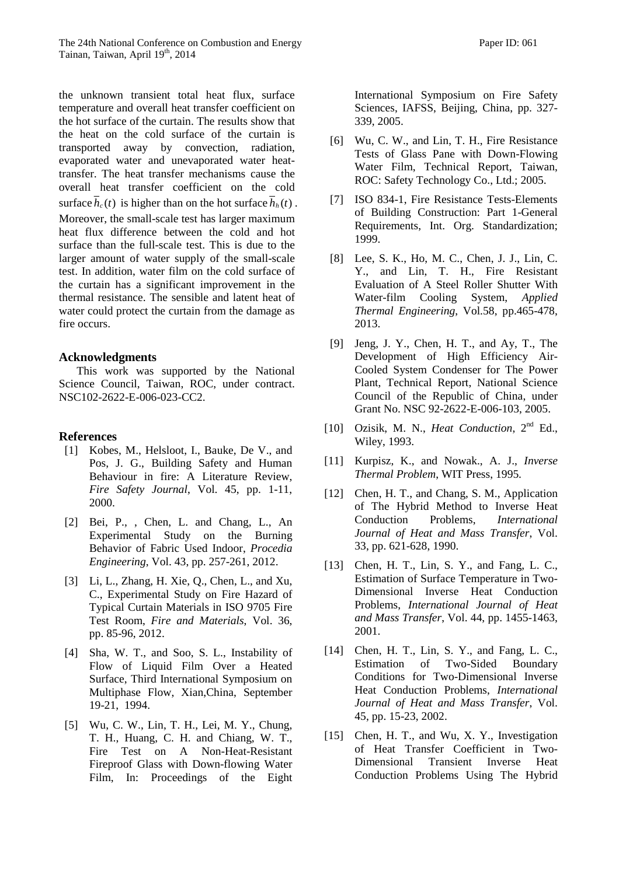the unknown transient total heat flux, surface temperature and overall heat transfer coefficient on the hot surface of the curtain. The results show that the heat on the cold surface of the curtain is transported away by convection, radiation, evaporated water and unevaporated water heattransfer. The heat transfer mechanisms cause the overall heat transfer coefficient on the cold surface  $h_c(t)$  is higher than on the hot surface  $h_h(t)$ . Moreover, the small-scale test has larger maximum heat flux difference between the cold and hot surface than the full-scale test. This is due to the larger amount of water supply of the small-scale test. In addition, water film on the cold surface of the curtain has a significant improvement in the thermal resistance. The sensible and latent heat of water could protect the curtain from the damage as fire occurs.

#### **Acknowledgments**

This work was supported by the National Science Council, Taiwan, ROC, under contract. NSC102-2622-E-006-023-CC2.

#### **References**

- [1] Kobes, M., Helsloot, I., Bauke, De V., and Pos, J. G., Building Safety and Human Behaviour in fire: A Literature Review, *Fire Safety Journal*, Vol. 45, pp. 1-11, 2000.
- [2] Bei, P., , Chen, L. and Chang, L., An Experimental Study on the Burning Behavior of Fabric Used Indoor, *Procedia Engineering*, Vol. 43, pp. 257-261, 2012.
- [3] Li, L., Zhang, H. Xie, Q., Chen, L., and Xu, C., Experimental Study on Fire Hazard of Typical Curtain Materials in ISO 9705 Fire Test Room, *Fire and Materials*, Vol. 36, pp. 85-96, 2012.
- [4] Sha, W. T., and Soo, S. L., Instability of Flow of Liquid Film Over a Heated Surface, Third International Symposium on Multiphase Flow, Xian,China, September 19-21, 1994.
- [5] Wu, C. W., Lin, T. H., Lei, M. Y., Chung, T. H., Huang, C. H. and Chiang, W. T., Fire Test on A Non-Heat-Resistant Fireproof Glass with Down-flowing Water Film, In: Proceedings of the Eight

International Symposium on Fire Safety Sciences, IAFSS, Beijing, China, pp. 327- 339, 2005.

- [6] Wu, C. W., and Lin, T. H., Fire Resistance Tests of Glass Pane with Down-Flowing Water Film, Technical Report, Taiwan, ROC: Safety Technology Co., Ltd.; 2005.
- [7] ISO 834-1, Fire Resistance Tests-Elements of Building Construction: Part 1-General Requirements, Int. Org. Standardization; 1999.
- [8] Lee, S. K., Ho, M. C., Chen, J. J., Lin, C. Y., and Lin, T. H., Fire Resistant Evaluation of A Steel Roller Shutter With Water-film Cooling System, *Applied Thermal Engineering*, Vol.58, pp.465-478, 2013.
- [9] Jeng, J. Y., Chen, H. T., and Ay, T., The Development of High Efficiency Air-Cooled System Condenser for The Power Plant, Technical Report, National Science Council of the Republic of China, under Grant No. NSC 92-2622-E-006-103, 2005.
- [10] Ozisik, M. N., *Heat Conduction*, 2<sup>nd</sup> Ed., Wiley, 1993.
- [11] Kurpisz, K., and Nowak., A. J., *Inverse Thermal Problem*, WIT Press, 1995.
- [12] Chen, H. T., and Chang, S. M., Application of The Hybrid Method to Inverse Heat Conduction Problems, *International Journal of Heat and Mass Transfer*, Vol. 33, pp. 621-628, 1990.
- [13] Chen, H. T., Lin, S. Y., and Fang, L. C., Estimation of Surface Temperature in Two-Dimensional Inverse Heat Conduction Problems, *International Journal of Heat and Mass Transfer*, Vol. 44, pp. 1455-1463, 2001.
- [14] Chen, H. T., Lin, S. Y., and Fang, L. C., Estimation of Two-Sided Boundary Conditions for Two-Dimensional Inverse Heat Conduction Problems, *International Journal of Heat and Mass Transfer*, Vol. 45, pp. 15-23, 2002.
- [15] Chen, H. T., and Wu, X. Y., Investigation of Heat Transfer Coefficient in Two-Dimensional Transient Inverse Heat Conduction Problems Using The Hybrid